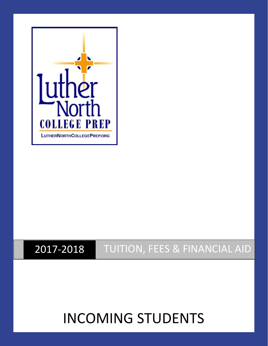

## 2017-2018 TUITION, FEES & FINANCIAL AID

# INCOMING STUDENTS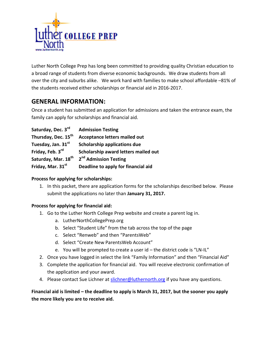

Luther North College Prep has long been committed to providing quality Christian education to a broad range of students from diverse economic backgrounds. We draw students from all over the city and suburbs alike. We work hard with families to make school affordable –81% of the students received either scholarships or financial aid in 2016-2017.

## **GENERAL INFORMATION:**

Once a student has submitted an application for admissions and taken the entrance exam, the family can apply for scholarships and financial aid.

| Saturday, Dec. 3rd              | <b>Admission Testing</b>             |
|---------------------------------|--------------------------------------|
| Thursday, Dec. 15 <sup>th</sup> | <b>Acceptance letters mailed out</b> |
| Tuesday, Jan. 31st              | <b>Scholarship applications due</b>  |
| Friday, Feb. 3rd                | Scholarship award letters mailed out |
| Saturday, Mar. 18 <sup>th</sup> | 2 <sup>nd</sup> Admission Testing    |
| Friday, Mar. 31st               | Deadline to apply for financial aid  |

#### **Process for applying for scholarships:**

1. In this packet, there are application forms for the scholarships described below. Please submit the applications no later than **January 31, 2017.**

#### **Process for applying for financial aid:**

- 1. Go to the Luther North College Prep website and create a parent log in.
	- a. LutherNorthCollegePrep.org
	- b. Select "Student Life" from the tab across the top of the page
	- c. Select "Renweb" and then "ParentsWeb"
	- d. Select "Create New ParentsWeb Account"
	- e. You will be prompted to create a user id the district code is "LN-IL"
- 2. Once you have logged in select the link "Family Information" and then "Financial Aid"
- 3. Complete the application for financial aid. You will receive electronic confirmation of the application and your award.
- 4. Please contact Sue Lichner at [slichner@luthernorth.org](mailto:slichner@luthernorth.org) if you have any questions.

#### **Financial aid is limited – the deadline to apply is March 31, 2017, but the sooner you apply the more likely you are to receive aid.**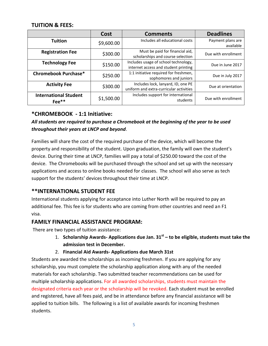#### **TUITION & FEES:**

|                                         | Cost       | <b>Comments</b>                                                               | <b>Deadlines</b>               |
|-----------------------------------------|------------|-------------------------------------------------------------------------------|--------------------------------|
| <b>Tuition</b>                          | \$9,600.00 | Includes all educational costs                                                | Payment plans are<br>available |
| <b>Registration Fee</b>                 | \$300.00   | Must be paid for financial aid,<br>scholarships and course selection          | Due with enrollment            |
| <b>Technology Fee</b>                   | \$150.00   | Includes usage of school technology,<br>internet access and student printing  | Due in June 2017               |
| <b>Chromebook Purchase*</b>             | \$250.00   | 1:1 initiative required for freshmen,<br>sophomores and juniors               | Due in July 2017               |
| <b>Activity Fee</b>                     | \$300.00   | Includes lock, lanyard, ID, one PE<br>uniform and extra-curricular activities | Due at orientation             |
| <b>International Student</b><br>$Fee**$ | \$1,500.00 | Includes support for international<br>students                                | Due with enrollment            |

#### **\*CHROMEBOOK - 1:1 Initiative:**

#### *All students are required to purchase a Chromebook at the beginning of the year to be used throughout their years at LNCP and beyond*.

Families will share the cost of the required purchase of the device, which will become the property and responsibility of the student. Upon graduation, the family will own the student's device. During their time at LNCP, families will pay a total of \$250.00 toward the cost of the device. The Chromebooks will be purchased through the school and set up with the necessary applications and access to online books needed for classes. The school will also serve as tech support for the students' devices throughout their time at LNCP.

#### **\*\*INTERNATIONAL STUDENT FEE**

International students applying for acceptance into Luther North will be required to pay an additional fee. This fee is for students who are coming from other countries and need an F1 visa.

#### **FAMILY FINANCIAL ASSISTANCE PROGRAM:**

There are two types of tuition assistance:

- 1. **Scholarship Awards- Applications due Jan. 31st – to be eligible, students must take the admission test in December.**
- 2. **Financial Aid Awards- Applications due March 31st**

Students are awarded the scholarships as incoming freshmen. If you are applying for any scholarship, you must complete the scholarship application along with any of the needed materials for each scholarship. Two submitted teacher recommendations can be used for multiple scholarship applications. For all awarded scholarships, students must maintain the designated criteria each year or the scholarship will be revoked. Each student must be enrolled and registered, have all fees paid, and be in attendance before any financial assistance will be applied to tuition bills. The following is a list of available awards for incoming freshmen students.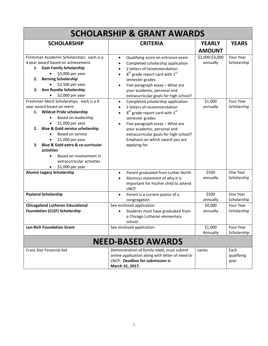| <b>SCHOLARSHIP &amp; GRANT AWARDS</b>                                                                                                                                                                                                                                                                                                                                                                   |                                                                                                                                                                                                                                                                                                                                               |                             |                            |  |  |  |
|---------------------------------------------------------------------------------------------------------------------------------------------------------------------------------------------------------------------------------------------------------------------------------------------------------------------------------------------------------------------------------------------------------|-----------------------------------------------------------------------------------------------------------------------------------------------------------------------------------------------------------------------------------------------------------------------------------------------------------------------------------------------|-----------------------------|----------------------------|--|--|--|
| <b>SCHOLARSHIP</b>                                                                                                                                                                                                                                                                                                                                                                                      | <b>CRITERIA</b>                                                                                                                                                                                                                                                                                                                               | <b>YEARLY</b>               | <b>YEARS</b>               |  |  |  |
|                                                                                                                                                                                                                                                                                                                                                                                                         |                                                                                                                                                                                                                                                                                                                                               | <b>AMOUNT</b>               |                            |  |  |  |
| Freshman Academic Scholarships: each is a<br>4 year award based on achievement.<br>1. Gast Family Scholarship<br>\$3,000 per year<br><b>Berning Scholarship</b><br>2.<br>\$2,500 per year<br>Ann Rundio Scholarship<br>З.<br>\$2,000 per year                                                                                                                                                           | Qualifying score on entrance exam<br>$\bullet$<br>Completed scholarship application<br>$\bullet$<br>2 letters of recommendation<br>$\bullet$<br>$8th$ grade report card with $1st$<br>$\bullet$<br>semester grades<br>Five paragraph essay - What are<br>$\bullet$<br>your academic, personal and<br>extracurricular goals for high school?   | \$2,000-\$3,000<br>annually | Four Year<br>Scholarship   |  |  |  |
| Freshman Merit Scholarships: each is a 4<br>year award based on merit.<br>1. Wildcat Pride scholarship<br>Based on leadership<br>\$1,000 per year<br><b>Blue &amp; Gold service scholarship</b><br>2.<br><b>Based on service</b><br>\$1,000 per year<br>Blue & Gold extra & co-curricular<br>з.<br>activities<br>Based on involvement in<br>$\bullet$<br>extracurricular activities<br>\$1,000 per year | Completed scholarship application<br>$\bullet$<br>2 letters of recommendation<br>$\bullet$<br>$8th$ grade report card with $1st$<br>$\bullet$<br>semester grades<br>Five paragraph essay - What are<br>$\bullet$<br>your academic, personal and<br>extracurricular goals for high school?<br>Emphasis on which award you are<br>applying for. | \$1,000<br>annually         | Four Year<br>Scholarship   |  |  |  |
| Alumni Legacy Scholarship                                                                                                                                                                                                                                                                                                                                                                               | Parent graduated from Luther North<br>$\bullet$<br>Alumnus statement of why it is<br>$\bullet$<br>important for his/her child to attend<br><b>LNCP</b>                                                                                                                                                                                        | \$500<br>annually           | One Year<br>Scholarship    |  |  |  |
| <b>Pastoral Scholarship</b>                                                                                                                                                                                                                                                                                                                                                                             | Parent is a current pastor of a<br>$\bullet$<br>congregation                                                                                                                                                                                                                                                                                  | \$500<br>annually           | One Year<br>Scholarship    |  |  |  |
| <b>Chicagoland Lutheran Educational</b><br><b>Foundation (CLEF) Scholarship</b>                                                                                                                                                                                                                                                                                                                         | See enclosed application<br>Students must have graduated from<br>$\bullet$<br>a Chicago Lutheran elementary<br>school                                                                                                                                                                                                                         | \$4,000<br>annually         | Four Year<br>Scholarship   |  |  |  |
| <b>Len-Rich Foundation Grant</b>                                                                                                                                                                                                                                                                                                                                                                        | See enclosed application                                                                                                                                                                                                                                                                                                                      | \$1,000<br>Annually         | Four Year<br>Scholarship   |  |  |  |
| <b>NEED-BASED AWARDS</b>                                                                                                                                                                                                                                                                                                                                                                                |                                                                                                                                                                                                                                                                                                                                               |                             |                            |  |  |  |
| <b>Cross Star Financial Aid</b>                                                                                                                                                                                                                                                                                                                                                                         | Demonstration of family need, must submit<br>online application along with letter of need to<br>LNCP. Deadline for submission is<br>March 31, 2017.                                                                                                                                                                                           | varies                      | Each<br>qualifying<br>year |  |  |  |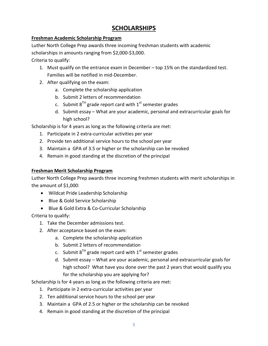## **SCHOLARSHIPS**

#### **Freshman Academic Scholarship Program**

Luther North College Prep awards three incoming freshman students with academic

scholarships in amounts ranging from \$2,000-\$3,000.

Criteria to qualify:

- 1. Must qualify on the entrance exam in December top 15% on the standardized test. Families will be notified in mid-December.
- 2. After qualifying on the exam:
	- a. Complete the scholarship application
	- b. Submit 2 letters of recommendation
	- c. Submit  $8^{TH}$  grade report card with  $1^{st}$  semester grades
	- d. Submit essay What are your academic, personal and extracurricular goals for high school?

Scholarship is for 4 years as long as the following criteria are met:

- 1. Participate in 2 extra-curricular activities per year
- 2. Provide ten additional service hours to the school per year
- 3. Maintain a GPA of 3.5 or higher or the scholarship can be revoked
- 4. Remain in good standing at the discretion of the principal

#### **Freshman Merit Scholarship Program**

Luther North College Prep awards three incoming freshmen students with merit scholarships in the amount of \$1,000:

- Wildcat Pride Leadership Scholarship
- Blue & Gold Service Scholarship
- Blue & Gold Extra & Co-Curricular Scholarship

Criteria to qualify:

- 1. Take the December admissions test.
- 2. After acceptance based on the exam:
	- a. Complete the scholarship application
	- b. Submit 2 letters of recommendation
	- c. Submit  $8^{TH}$  grade report card with  $1^{st}$  semester grades
	- d. Submit essay What are your academic, personal and extracurricular goals for high school? What have you done over the past 2 years that would qualify you for the scholarship you are applying for?

Scholarship is for 4 years as long as the following criteria are met:

- 1. Participate in 2 extra-curricular activities per year
- 2. Ten additional service hours to the school per year
- 3. Maintain a GPA of 2.5 or higher or the scholarship can be revoked
- 4. Remain in good standing at the discretion of the principal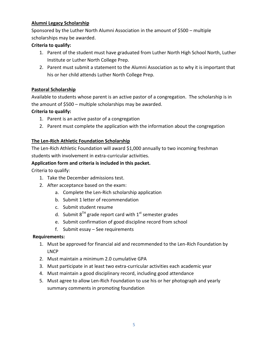#### **Alumni Legacy Scholarship**

Sponsored by the Luther North Alumni Association in the amount of \$500 – multiple scholarships may be awarded.

#### **Criteria to qualify:**

- 1. Parent of the student must have graduated from Luther North High School North, Luther Institute or Luther North College Prep.
- 2. Parent must submit a statement to the Alumni Association as to why it is important that his or her child attends Luther North College Prep.

#### **Pastoral Scholarship**

Available to students whose parent is an active pastor of a congregation. The scholarship is in the amount of \$500 – multiple scholarships may be awarded.

#### **Criteria to qualify:**

- 1. Parent is an active pastor of a congregation
- 2. Parent must complete the application with the information about the congregation

#### **The Len-Rich Athletic Foundation Scholarship**

The Len-Rich Athletic Foundation will award \$1,000 annually to two incoming freshman students with involvement in extra-curricular activities.

#### **Application form and criteria is included in this packet.**

Criteria to qualify:

- 1. Take the December admissions test.
- 2. After acceptance based on the exam:
	- a. Complete the Len-Rich scholarship application
	- b. Submit 1 letter of recommendation
	- c. Submit student resume
	- d. Submit  $8^{TH}$  grade report card with  $1^{st}$  semester grades
	- e. Submit confirmation of good discipline record from school
	- f. Submit essay See requirements

#### **Requirements:**

- 1. Must be approved for financial aid and recommended to the Len-Rich Foundation by LNCP
- 2. Must maintain a minimum 2.0 cumulative GPA
- 3. Must participate in at least two extra-curricular activities each academic year
- 4. Must maintain a good disciplinary record, including good attendance
- 5. Must agree to allow Len-Rich Foundation to use his or her photograph and yearly summary comments in promoting foundation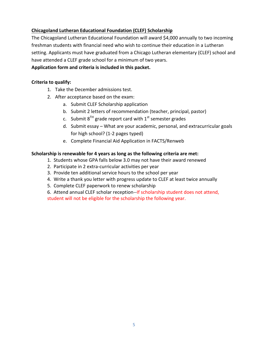#### **Chicagoland Lutheran Educational Foundation (CLEF) Scholarship**

The Chicagoland Lutheran Educational Foundation will award \$4,000 annually to two incoming freshman students with financial need who wish to continue their education in a Lutheran setting. Applicants must have graduated from a Chicago Lutheran elementary (CLEF) school and have attended a CLEF grade school for a minimum of two years.

#### **Application form and criteria is included in this packet.**

#### **Criteria to qualify:**

- 1. Take the December admissions test.
- 2. After acceptance based on the exam:
	- a. Submit CLEF Scholarship application
	- b. Submit 2 letters of recommendation (teacher, principal, pastor)
	- c. Submit  $8^{TH}$  grade report card with  $1^{st}$  semester grades
	- d. Submit essay What are your academic, personal, and extracurricular goals for high school? (1-2 pages typed)
	- e. Complete Financial Aid Application in FACTS/Renweb

#### **Scholarship is renewable for 4 years as long as the following criteria are met:**

- 1. Students whose GPA falls below 3.0 may not have their award renewed
- 2. Participate in 2 extra-curricular activities per year
- 3. Provide ten additional service hours to the school per year
- 4. Write a thank you letter with progress update to CLEF at least twice annually
- 5. Complete CLEF paperwork to renew scholarship
- 6. Attend annual CLEF scholar reception--If scholarship student does not attend, student will not be eligible for the scholarship the following year.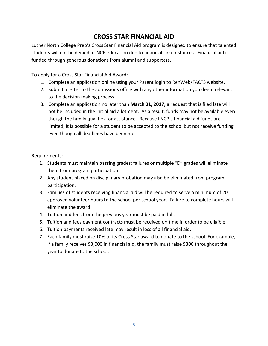## **CROSS STAR FINANCIAL AID**

Luther North College Prep's Cross Star Financial Aid program is designed to ensure that talented students will not be denied a LNCP education due to financial circumstances. Financial aid is funded through generous donations from alumni and supporters.

To apply for a Cross Star Financial Aid Award:

- 1. Complete an application online using your Parent login to RenWeb/FACTS website.
- 2. Submit a letter to the admissions office with any other information you deem relevant to the decision making process.
- 3. Complete an application no later than **March 31, 2017;** a request that is filed late will not be included in the initial aid allotment. As a result, funds may not be available even though the family qualifies for assistance. Because LNCP's financial aid funds are limited, it is possible for a student to be accepted to the school but not receive funding even though all deadlines have been met.

Requirements:

- 1. Students must maintain passing grades; failures or multiple "D" grades will eliminate them from program participation.
- 2. Any student placed on disciplinary probation may also be eliminated from program participation.
- 3. Families of students receiving financial aid will be required to serve a minimum of 20 approved volunteer hours to the school per school year. Failure to complete hours will eliminate the award.
- 4. Tuition and fees from the previous year must be paid in full.
- 5. Tuition and fees payment contracts must be received on time in order to be eligible.
- 6. Tuition payments received late may result in loss of all financial aid.
- 7. Each family must raise 10% of its Cross Star award to donate to the school. For example, if a family receives \$3,000 in financial aid, the family must raise \$300 throughout the year to donate to the school.